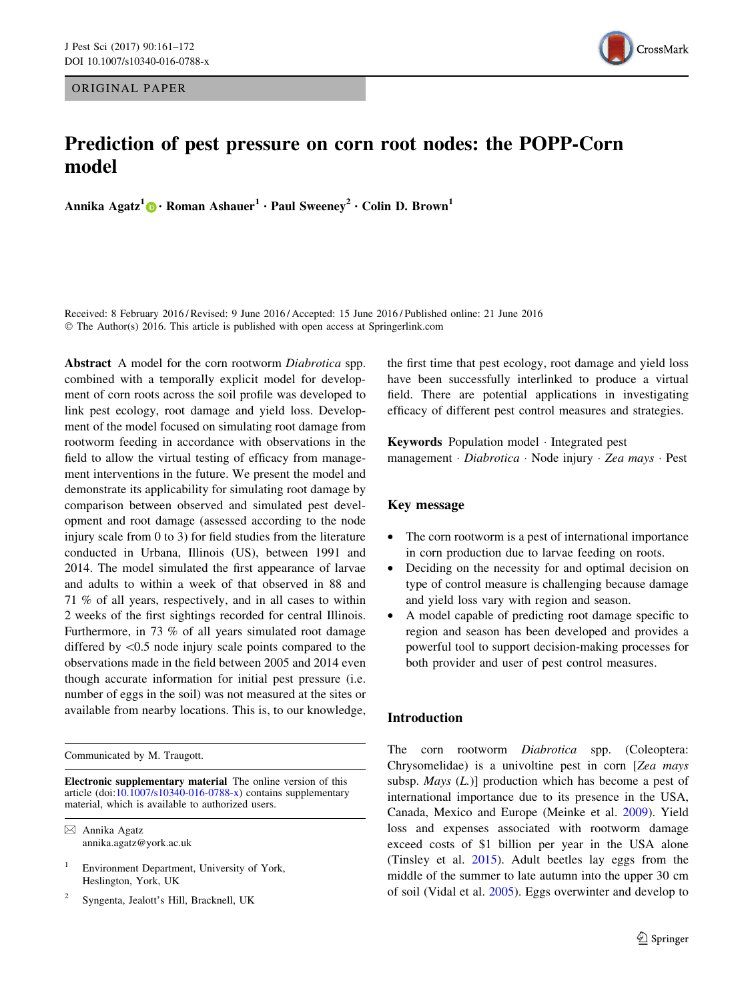ORIGINAL PAPER



# Prediction of pest pressure on corn root nodes: the POPP-Corn model

Annika Agatz<sup>1</sup> [•](http://orcid.org/0000-0003-3228-8822) Roman Ashauer<sup>1</sup> • Paul Sweeney<sup>2</sup> • Colin D. Brown<sup>1</sup>

Received: 8 February 2016 / Revised: 9 June 2016 / Accepted: 15 June 2016 / Published online: 21 June 2016 © The Author(s) 2016. This article is published with open access at Springerlink.com

Abstract A model for the corn rootworm Diabrotica spp. combined with a temporally explicit model for development of corn roots across the soil profile was developed to link pest ecology, root damage and yield loss. Development of the model focused on simulating root damage from rootworm feeding in accordance with observations in the field to allow the virtual testing of efficacy from management interventions in the future. We present the model and demonstrate its applicability for simulating root damage by comparison between observed and simulated pest development and root damage (assessed according to the node injury scale from 0 to 3) for field studies from the literature conducted in Urbana, Illinois (US), between 1991 and 2014. The model simulated the first appearance of larvae and adults to within a week of that observed in 88 and 71 % of all years, respectively, and in all cases to within 2 weeks of the first sightings recorded for central Illinois. Furthermore, in 73 % of all years simulated root damage differed by  $< 0.5$  node injury scale points compared to the observations made in the field between 2005 and 2014 even though accurate information for initial pest pressure (i.e. number of eggs in the soil) was not measured at the sites or available from nearby locations. This is, to our knowledge,

Communicated by M. Traugott.

Electronic supplementary material The online version of this article (doi:[10.1007/s10340-016-0788-x\)](http://dx.doi.org/10.1007/s10340-016-0788-x) contains supplementary material, which is available to authorized users.

 $\boxtimes$  Annika Agatz annika.agatz@york.ac.uk

<sup>2</sup> Syngenta, Jealott's Hill, Bracknell, UK

the first time that pest ecology, root damage and yield loss have been successfully interlinked to produce a virtual field. There are potential applications in investigating efficacy of different pest control measures and strategies.

Keywords Population model - Integrated pest management · Diabrotica · Node injury · Zea mays · Pest

# Key message

- The corn rootworm is a pest of international importance in corn production due to larvae feeding on roots.
- Deciding on the necessity for and optimal decision on type of control measure is challenging because damage and yield loss vary with region and season.
- A model capable of predicting root damage specific to region and season has been developed and provides a powerful tool to support decision-making processes for both provider and user of pest control measures.

# Introduction

The corn rootworm *Diabrotica* spp. (Coleoptera: Chrysomelidae) is a univoltine pest in corn [Zea mays subsp.  $Mays$  ( $L$ .)] production which has become a pest of international importance due to its presence in the USA, Canada, Mexico and Europe (Meinke et al. [2009](#page-11-0)). Yield loss and expenses associated with rootworm damage exceed costs of \$1 billion per year in the USA alone (Tinsley et al. [2015\)](#page-11-0). Adult beetles lay eggs from the middle of the summer to late autumn into the upper 30 cm of soil (Vidal et al. [2005](#page-11-0)). Eggs overwinter and develop to

<sup>1</sup> Environment Department, University of York, Heslington, York, UK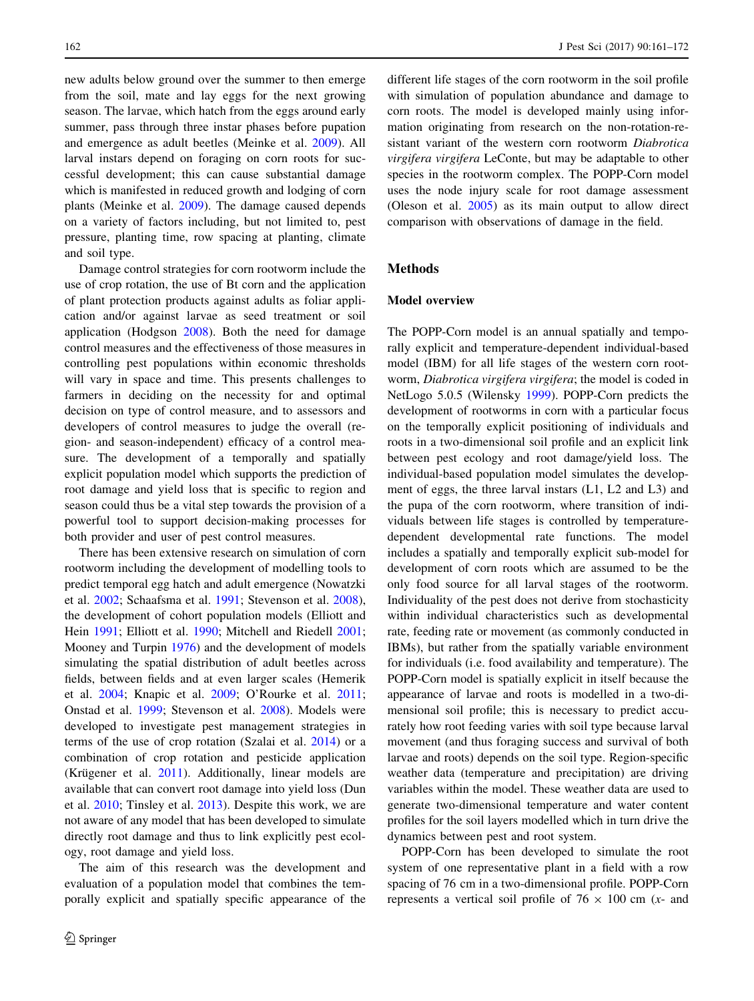new adults below ground over the summer to then emerge from the soil, mate and lay eggs for the next growing season. The larvae, which hatch from the eggs around early summer, pass through three instar phases before pupation and emergence as adult beetles (Meinke et al. [2009\)](#page-11-0). All larval instars depend on foraging on corn roots for successful development; this can cause substantial damage which is manifested in reduced growth and lodging of corn plants (Meinke et al. [2009](#page-11-0)). The damage caused depends on a variety of factors including, but not limited to, pest pressure, planting time, row spacing at planting, climate and soil type.

Damage control strategies for corn rootworm include the use of crop rotation, the use of Bt corn and the application of plant protection products against adults as foliar application and/or against larvae as seed treatment or soil application (Hodgson [2008\)](#page-10-0). Both the need for damage control measures and the effectiveness of those measures in controlling pest populations within economic thresholds will vary in space and time. This presents challenges to farmers in deciding on the necessity for and optimal decision on type of control measure, and to assessors and developers of control measures to judge the overall (region- and season-independent) efficacy of a control measure. The development of a temporally and spatially explicit population model which supports the prediction of root damage and yield loss that is specific to region and season could thus be a vital step towards the provision of a powerful tool to support decision-making processes for both provider and user of pest control measures.

There has been extensive research on simulation of corn rootworm including the development of modelling tools to predict temporal egg hatch and adult emergence (Nowatzki et al. [2002](#page-11-0); Schaafsma et al. [1991;](#page-11-0) Stevenson et al. [2008](#page-11-0)), the development of cohort population models (Elliott and Hein [1991;](#page-10-0) Elliott et al. [1990](#page-10-0); Mitchell and Riedell [2001](#page-11-0); Mooney and Turpin [1976](#page-11-0)) and the development of models simulating the spatial distribution of adult beetles across fields, between fields and at even larger scales (Hemerik et al. [2004](#page-10-0); Knapic et al. [2009;](#page-11-0) O'Rourke et al. [2011](#page-11-0); Onstad et al. [1999;](#page-11-0) Stevenson et al. [2008\)](#page-11-0). Models were developed to investigate pest management strategies in terms of the use of crop rotation (Szalai et al. [2014\)](#page-11-0) or a combination of crop rotation and pesticide application (Krügener et al.  $2011$ ). Additionally, linear models are available that can convert root damage into yield loss (Dun et al. [2010](#page-10-0); Tinsley et al. [2013](#page-11-0)). Despite this work, we are not aware of any model that has been developed to simulate directly root damage and thus to link explicitly pest ecology, root damage and yield loss.

The aim of this research was the development and evaluation of a population model that combines the temporally explicit and spatially specific appearance of the different life stages of the corn rootworm in the soil profile with simulation of population abundance and damage to corn roots. The model is developed mainly using information originating from research on the non-rotation-resistant variant of the western corn rootworm Diabrotica virgifera virgifera LeConte, but may be adaptable to other species in the rootworm complex. The POPP-Corn model uses the node injury scale for root damage assessment (Oleson et al. [2005\)](#page-11-0) as its main output to allow direct comparison with observations of damage in the field.

# Methods

# Model overview

The POPP-Corn model is an annual spatially and temporally explicit and temperature-dependent individual-based model (IBM) for all life stages of the western corn rootworm, Diabrotica virgifera virgifera; the model is coded in NetLogo 5.0.5 (Wilensky [1999](#page-11-0)). POPP-Corn predicts the development of rootworms in corn with a particular focus on the temporally explicit positioning of individuals and roots in a two-dimensional soil profile and an explicit link between pest ecology and root damage/yield loss. The individual-based population model simulates the development of eggs, the three larval instars (L1, L2 and L3) and the pupa of the corn rootworm, where transition of individuals between life stages is controlled by temperaturedependent developmental rate functions. The model includes a spatially and temporally explicit sub-model for development of corn roots which are assumed to be the only food source for all larval stages of the rootworm. Individuality of the pest does not derive from stochasticity within individual characteristics such as developmental rate, feeding rate or movement (as commonly conducted in IBMs), but rather from the spatially variable environment for individuals (i.e. food availability and temperature). The POPP-Corn model is spatially explicit in itself because the appearance of larvae and roots is modelled in a two-dimensional soil profile; this is necessary to predict accurately how root feeding varies with soil type because larval movement (and thus foraging success and survival of both larvae and roots) depends on the soil type. Region-specific weather data (temperature and precipitation) are driving variables within the model. These weather data are used to generate two-dimensional temperature and water content profiles for the soil layers modelled which in turn drive the dynamics between pest and root system.

POPP-Corn has been developed to simulate the root system of one representative plant in a field with a row spacing of 76 cm in a two-dimensional profile. POPP-Corn represents a vertical soil profile of  $76 \times 100$  cm (x- and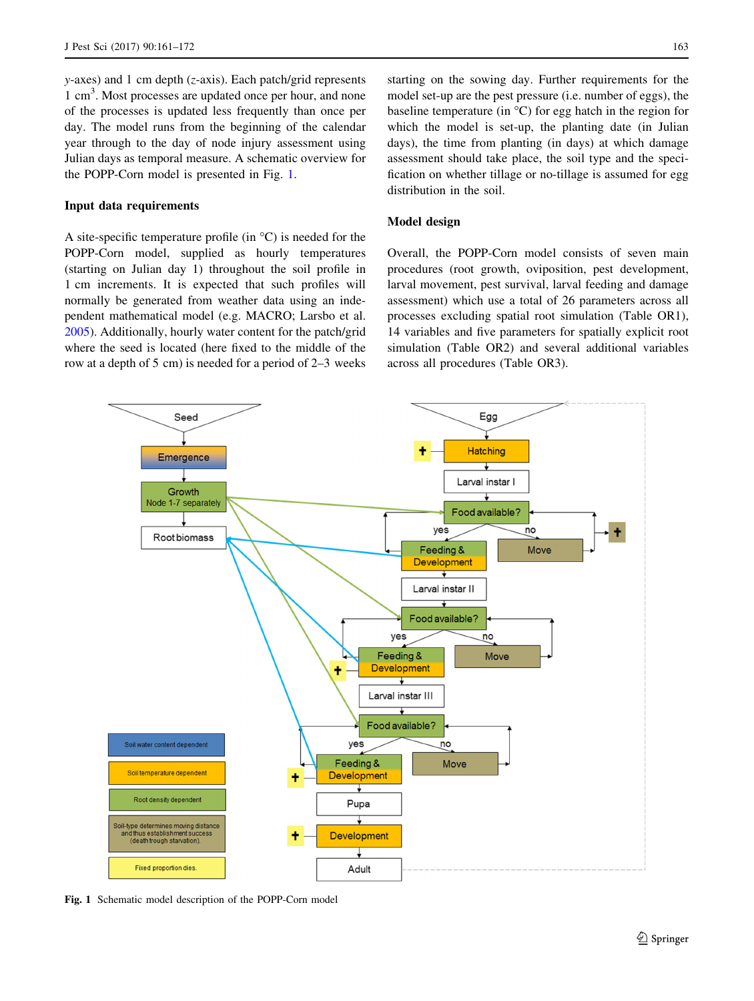y-axes) and 1 cm depth (z-axis). Each patch/grid represents 1 cm<sup>3</sup>. Most processes are updated once per hour, and none of the processes is updated less frequently than once per day. The model runs from the beginning of the calendar year through to the day of node injury assessment using Julian days as temporal measure. A schematic overview for the POPP-Corn model is presented in Fig. 1.

## Input data requirements

A site-specific temperature profile (in  $\mathrm{^{\circ}C}$ ) is needed for the POPP-Corn model, supplied as hourly temperatures (starting on Julian day 1) throughout the soil profile in 1 cm increments. It is expected that such profiles will normally be generated from weather data using an independent mathematical model (e.g. MACRO; Larsbo et al. [2005\)](#page-11-0). Additionally, hourly water content for the patch/grid where the seed is located (here fixed to the middle of the row at a depth of 5 cm) is needed for a period of 2–3 weeks starting on the sowing day. Further requirements for the model set-up are the pest pressure (i.e. number of eggs), the baseline temperature (in  $\degree$ C) for egg hatch in the region for which the model is set-up, the planting date (in Julian days), the time from planting (in days) at which damage assessment should take place, the soil type and the specification on whether tillage or no-tillage is assumed for egg distribution in the soil.

## Model design

Overall, the POPP-Corn model consists of seven main procedures (root growth, oviposition, pest development, larval movement, pest survival, larval feeding and damage assessment) which use a total of 26 parameters across all processes excluding spatial root simulation (Table OR1), 14 variables and five parameters for spatially explicit root simulation (Table OR2) and several additional variables across all procedures (Table OR3).



Fig. 1 Schematic model description of the POPP-Corn model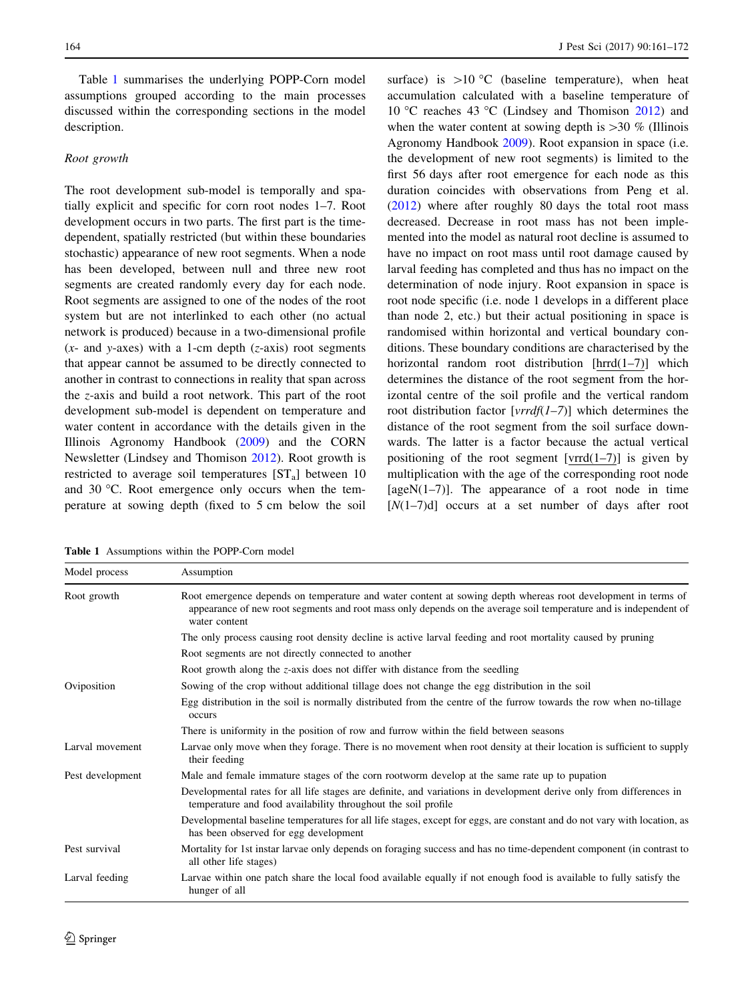Table 1 summarises the underlying POPP-Corn model assumptions grouped according to the main processes discussed within the corresponding sections in the model description.

#### Root growth

The root development sub-model is temporally and spatially explicit and specific for corn root nodes 1–7. Root development occurs in two parts. The first part is the timedependent, spatially restricted (but within these boundaries stochastic) appearance of new root segments. When a node has been developed, between null and three new root segments are created randomly every day for each node. Root segments are assigned to one of the nodes of the root system but are not interlinked to each other (no actual network is produced) because in a two-dimensional profile  $(x-$  and y-axes) with a 1-cm depth  $(z-axis)$  root segments that appear cannot be assumed to be directly connected to another in contrast to connections in reality that span across the z-axis and build a root network. This part of the root development sub-model is dependent on temperature and water content in accordance with the details given in the Illinois Agronomy Handbook ([2009](#page-10-0)) and the CORN Newsletter (Lindsey and Thomison [2012\)](#page-11-0). Root growth is restricted to average soil temperatures [ST<sub>a</sub>] between 10 and 30  $\degree$ C. Root emergence only occurs when the temperature at sowing depth (fixed to 5 cm below the soil surface) is  $>10^{\circ}$ C (baseline temperature), when heat accumulation calculated with a baseline temperature of 10 °C reaches 43 °C (Lindsey and Thomison [2012\)](#page-11-0) and when the water content at sowing depth is  $>$ 30 % (Illinois Agronomy Handbook [2009](#page-10-0)). Root expansion in space (i.e. the development of new root segments) is limited to the first 56 days after root emergence for each node as this duration coincides with observations from Peng et al. [\(2012](#page-11-0)) where after roughly 80 days the total root mass decreased. Decrease in root mass has not been implemented into the model as natural root decline is assumed to have no impact on root mass until root damage caused by larval feeding has completed and thus has no impact on the determination of node injury. Root expansion in space is root node specific (i.e. node 1 develops in a different place than node 2, etc.) but their actual positioning in space is randomised within horizontal and vertical boundary conditions. These boundary conditions are characterised by the horizontal random root distribution [hrrd(1–7)] which determines the distance of the root segment from the horizontal centre of the soil profile and the vertical random root distribution factor  $[vrrdf(1–7)]$  which determines the distance of the root segment from the soil surface downwards. The latter is a factor because the actual vertical positioning of the root segment  $[vrrd(1-7)]$  is given by multiplication with the age of the corresponding root node  $[ageN(1–7)]$ . The appearance of a root node in time  $[N(1-7)d]$  occurs at a set number of days after root

Table 1 Assumptions within the POPP-Corn model

Model process Assumption

| MOUGL PLOCESS    | Assumption                                                                                                                                                                                                                                        |
|------------------|---------------------------------------------------------------------------------------------------------------------------------------------------------------------------------------------------------------------------------------------------|
| Root growth      | Root emergence depends on temperature and water content at sowing depth whereas root development in terms of<br>appearance of new root segments and root mass only depends on the average soil temperature and is independent of<br>water content |
|                  | The only process causing root density decline is active larval feeding and root mortality caused by pruning                                                                                                                                       |
|                  | Root segments are not directly connected to another                                                                                                                                                                                               |
|                  | Root growth along the $z$ -axis does not differ with distance from the seedling                                                                                                                                                                   |
| Oviposition      | Sowing of the crop without additional tillage does not change the egg distribution in the soil                                                                                                                                                    |
|                  | Egg distribution in the soil is normally distributed from the centre of the furrow towards the row when no-tillage<br>occurs                                                                                                                      |
|                  | There is uniformity in the position of row and furrow within the field between seasons                                                                                                                                                            |
| Larval movement  | Larvae only move when they forage. There is no movement when root density at their location is sufficient to supply<br>their feeding                                                                                                              |
| Pest development | Male and female immature stages of the corn rootworm develop at the same rate up to pupation                                                                                                                                                      |
|                  | Developmental rates for all life stages are definite, and variations in development derive only from differences in<br>temperature and food availability throughout the soil profile                                                              |
|                  | Developmental baseline temperatures for all life stages, except for eggs, are constant and do not vary with location, as<br>has been observed for egg development                                                                                 |
| Pest survival    | Mortality for 1st instar larvae only depends on foraging success and has no time-dependent component (in contrast to<br>all other life stages)                                                                                                    |
| Larval feeding   | Larvae within one patch share the local food available equally if not enough food is available to fully satisfy the<br>hunger of all                                                                                                              |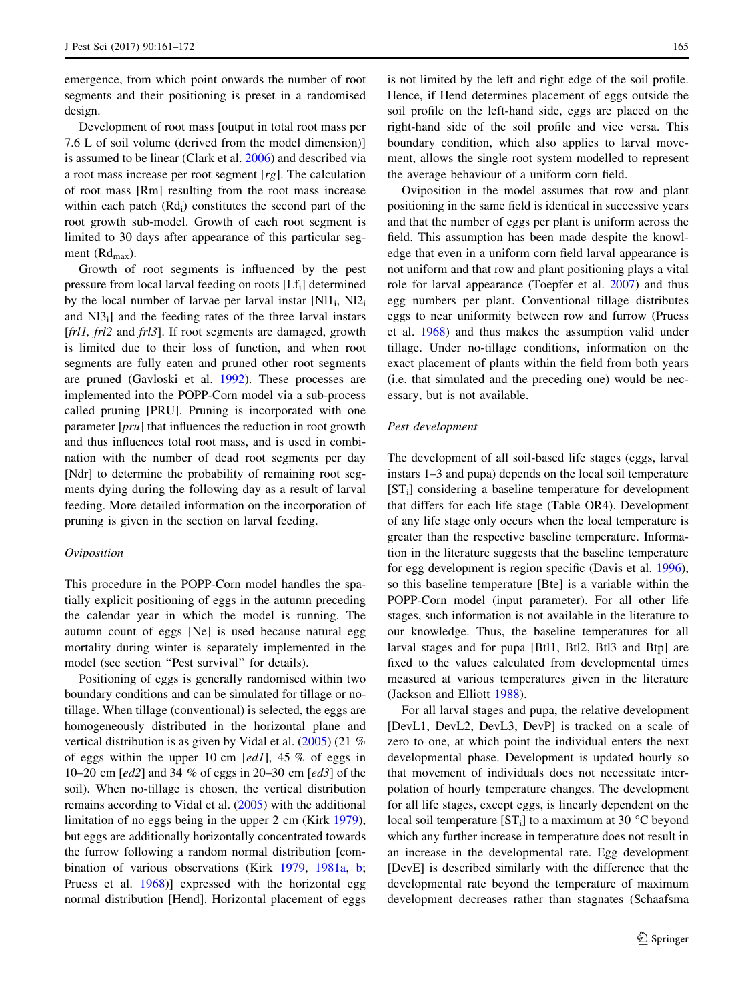emergence, from which point onwards the number of root segments and their positioning is preset in a randomised design.

Development of root mass [output in total root mass per 7.6 L of soil volume (derived from the model dimension)] is assumed to be linear (Clark et al. [2006\)](#page-10-0) and described via a root mass increase per root segment  $[rg]$ . The calculation of root mass [Rm] resulting from the root mass increase within each patch  $(Rd_i)$  constitutes the second part of the root growth sub-model. Growth of each root segment is limited to 30 days after appearance of this particular segment  $(Rd_{max})$ .

Growth of root segments is influenced by the pest pressure from local larval feeding on roots [Lfi] determined by the local number of larvae per larval instar  $[N11_i, N12_i]$ and Nl3i] and the feeding rates of the three larval instars [frl1, frl2 and frl3]. If root segments are damaged, growth is limited due to their loss of function, and when root segments are fully eaten and pruned other root segments are pruned (Gavloski et al. [1992](#page-10-0)). These processes are implemented into the POPP-Corn model via a sub-process called pruning [PRU]. Pruning is incorporated with one parameter [pru] that influences the reduction in root growth and thus influences total root mass, and is used in combination with the number of dead root segments per day [Ndr] to determine the probability of remaining root segments dying during the following day as a result of larval feeding. More detailed information on the incorporation of pruning is given in the section on larval feeding.

#### Oviposition

This procedure in the POPP-Corn model handles the spatially explicit positioning of eggs in the autumn preceding the calendar year in which the model is running. The autumn count of eggs [Ne] is used because natural egg mortality during winter is separately implemented in the model (see section ''Pest survival'' for details).

Positioning of eggs is generally randomised within two boundary conditions and can be simulated for tillage or notillage. When tillage (conventional) is selected, the eggs are homogeneously distributed in the horizontal plane and vertical distribution is as given by Vidal et al. ([2005\)](#page-11-0) (21 % of eggs within the upper 10 cm  $[ed1]$ , 45 % of eggs in 10–20 cm [ed2] and 34 % of eggs in 20–30 cm [ed3] of the soil). When no-tillage is chosen, the vertical distribution remains according to Vidal et al. ([2005\)](#page-11-0) with the additional limitation of no eggs being in the upper 2 cm (Kirk [1979](#page-10-0)), but eggs are additionally horizontally concentrated towards the furrow following a random normal distribution [combination of various observations (Kirk [1979](#page-10-0), [1981a](#page-10-0), [b](#page-11-0); Pruess et al. [1968\)](#page-11-0)] expressed with the horizontal egg normal distribution [Hend]. Horizontal placement of eggs is not limited by the left and right edge of the soil profile. Hence, if Hend determines placement of eggs outside the soil profile on the left-hand side, eggs are placed on the right-hand side of the soil profile and vice versa. This boundary condition, which also applies to larval movement, allows the single root system modelled to represent the average behaviour of a uniform corn field.

Oviposition in the model assumes that row and plant positioning in the same field is identical in successive years and that the number of eggs per plant is uniform across the field. This assumption has been made despite the knowledge that even in a uniform corn field larval appearance is not uniform and that row and plant positioning plays a vital role for larval appearance (Toepfer et al. [2007\)](#page-11-0) and thus egg numbers per plant. Conventional tillage distributes eggs to near uniformity between row and furrow (Pruess et al. [1968](#page-11-0)) and thus makes the assumption valid under tillage. Under no-tillage conditions, information on the exact placement of plants within the field from both years (i.e. that simulated and the preceding one) would be necessary, but is not available.

# Pest development

The development of all soil-based life stages (eggs, larval instars 1–3 and pupa) depends on the local soil temperature [ST<sub>i</sub>] considering a baseline temperature for development that differs for each life stage (Table OR4). Development of any life stage only occurs when the local temperature is greater than the respective baseline temperature. Information in the literature suggests that the baseline temperature for egg development is region specific (Davis et al. [1996](#page-10-0)), so this baseline temperature [Bte] is a variable within the POPP-Corn model (input parameter). For all other life stages, such information is not available in the literature to our knowledge. Thus, the baseline temperatures for all larval stages and for pupa [Btl1, Btl2, Btl3 and Btp] are fixed to the values calculated from developmental times measured at various temperatures given in the literature (Jackson and Elliott [1988\)](#page-10-0).

For all larval stages and pupa, the relative development [DevL1, DevL2, DevL3, DevP] is tracked on a scale of zero to one, at which point the individual enters the next developmental phase. Development is updated hourly so that movement of individuals does not necessitate interpolation of hourly temperature changes. The development for all life stages, except eggs, is linearly dependent on the local soil temperature  $ST_i$  to a maximum at 30 °C beyond which any further increase in temperature does not result in an increase in the developmental rate. Egg development [DevE] is described similarly with the difference that the developmental rate beyond the temperature of maximum development decreases rather than stagnates (Schaafsma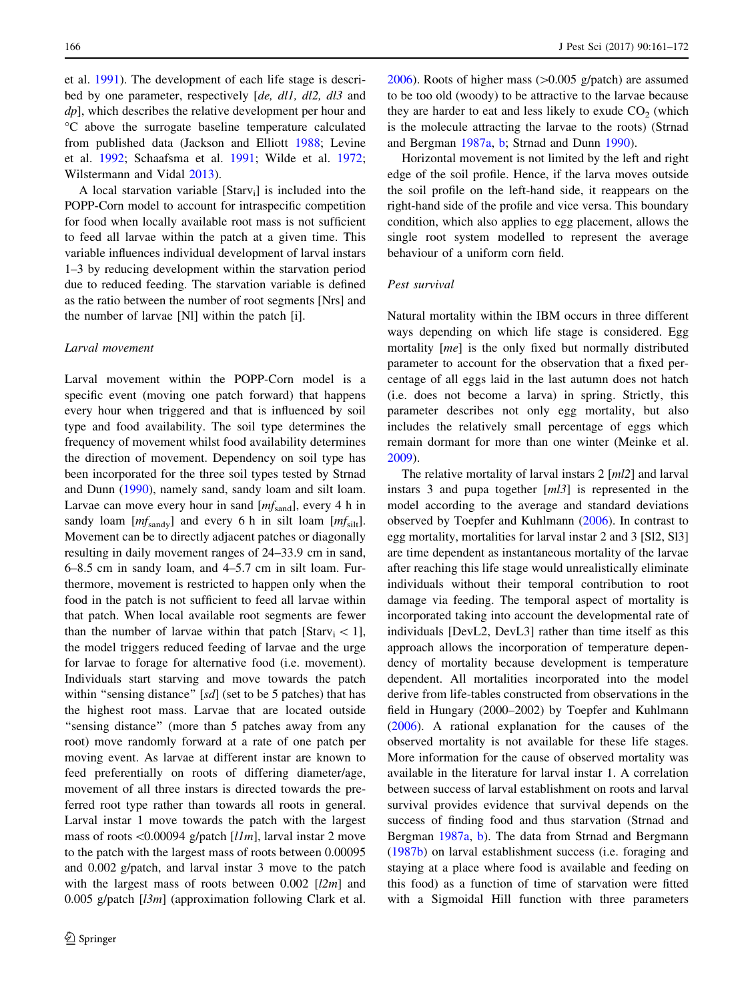et al. [1991\)](#page-11-0). The development of each life stage is described by one parameter, respectively [de, dl1, dl2, dl3 and dp), which describes the relative development per hour and C above the surrogate baseline temperature calculated from published data (Jackson and Elliott [1988](#page-10-0); Levine et al. [1992](#page-11-0); Schaafsma et al. [1991;](#page-11-0) Wilde et al. [1972](#page-11-0); Wilstermann and Vidal [2013](#page-11-0)).

A local starvation variable  $[Starv_i]$  is included into the POPP-Corn model to account for intraspecific competition for food when locally available root mass is not sufficient to feed all larvae within the patch at a given time. This variable influences individual development of larval instars 1–3 by reducing development within the starvation period due to reduced feeding. The starvation variable is defined as the ratio between the number of root segments [Nrs] and the number of larvae [Nl] within the patch [i].

# Larval movement

Larval movement within the POPP-Corn model is a specific event (moving one patch forward) that happens every hour when triggered and that is influenced by soil type and food availability. The soil type determines the frequency of movement whilst food availability determines the direction of movement. Dependency on soil type has been incorporated for the three soil types tested by Strnad and Dunn ([1990](#page-11-0)), namely sand, sandy loam and silt loam. Larvae can move every hour in sand  $[mf<sub>sand</sub>]$ , every 4 h in sandy loam  $[mf_{\text{sandy}}]$  and every 6 h in silt loam  $[mf_{\text{silt}}]$ . Movement can be to directly adjacent patches or diagonally resulting in daily movement ranges of 24–33.9 cm in sand, 6–8.5 cm in sandy loam, and 4–5.7 cm in silt loam. Furthermore, movement is restricted to happen only when the food in the patch is not sufficient to feed all larvae within that patch. When local available root segments are fewer than the number of larvae within that patch [Starv<sub>i</sub>  $< 1$ ], the model triggers reduced feeding of larvae and the urge for larvae to forage for alternative food (i.e. movement). Individuals start starving and move towards the patch within "sensing distance" [sd] (set to be 5 patches) that has the highest root mass. Larvae that are located outside "sensing distance" (more than 5 patches away from any root) move randomly forward at a rate of one patch per moving event. As larvae at different instar are known to feed preferentially on roots of differing diameter/age, movement of all three instars is directed towards the preferred root type rather than towards all roots in general. Larval instar 1 move towards the patch with the largest mass of roots  $\langle 0.00094 \text{ g/patch } [l/m]$ , larval instar 2 move to the patch with the largest mass of roots between 0.00095 and 0.002 g/patch, and larval instar 3 move to the patch with the largest mass of roots between  $0.002$  [l2m] and 0.005 g/patch  $[13m]$  (approximation following Clark et al. [2006](#page-10-0)). Roots of higher mass  $(>0.005 \text{ g}/\text{patch})$  are assumed to be too old (woody) to be attractive to the larvae because they are harder to eat and less likely to exude  $CO<sub>2</sub>$  (which is the molecule attracting the larvae to the roots) (Strnad and Bergman [1987a](#page-11-0), [b](#page-11-0); Strnad and Dunn [1990\)](#page-11-0).

Horizontal movement is not limited by the left and right edge of the soil profile. Hence, if the larva moves outside the soil profile on the left-hand side, it reappears on the right-hand side of the profile and vice versa. This boundary condition, which also applies to egg placement, allows the single root system modelled to represent the average behaviour of a uniform corn field.

### Pest survival

Natural mortality within the IBM occurs in three different ways depending on which life stage is considered. Egg mortality [me] is the only fixed but normally distributed parameter to account for the observation that a fixed percentage of all eggs laid in the last autumn does not hatch (i.e. does not become a larva) in spring. Strictly, this parameter describes not only egg mortality, but also includes the relatively small percentage of eggs which remain dormant for more than one winter (Meinke et al. [2009](#page-11-0)).

The relative mortality of larval instars 2 [ml2] and larval instars 3 and pupa together [ml3] is represented in the model according to the average and standard deviations observed by Toepfer and Kuhlmann ([2006\)](#page-11-0). In contrast to egg mortality, mortalities for larval instar 2 and 3 [Sl2, Sl3] are time dependent as instantaneous mortality of the larvae after reaching this life stage would unrealistically eliminate individuals without their temporal contribution to root damage via feeding. The temporal aspect of mortality is incorporated taking into account the developmental rate of individuals [DevL2, DevL3] rather than time itself as this approach allows the incorporation of temperature dependency of mortality because development is temperature dependent. All mortalities incorporated into the model derive from life-tables constructed from observations in the field in Hungary (2000–2002) by Toepfer and Kuhlmann [\(2006](#page-11-0)). A rational explanation for the causes of the observed mortality is not available for these life stages. More information for the cause of observed mortality was available in the literature for larval instar 1. A correlation between success of larval establishment on roots and larval survival provides evidence that survival depends on the success of finding food and thus starvation (Strnad and Bergman [1987a](#page-11-0), [b](#page-11-0)). The data from Strnad and Bergmann [\(1987b](#page-11-0)) on larval establishment success (i.e. foraging and staying at a place where food is available and feeding on this food) as a function of time of starvation were fitted with a Sigmoidal Hill function with three parameters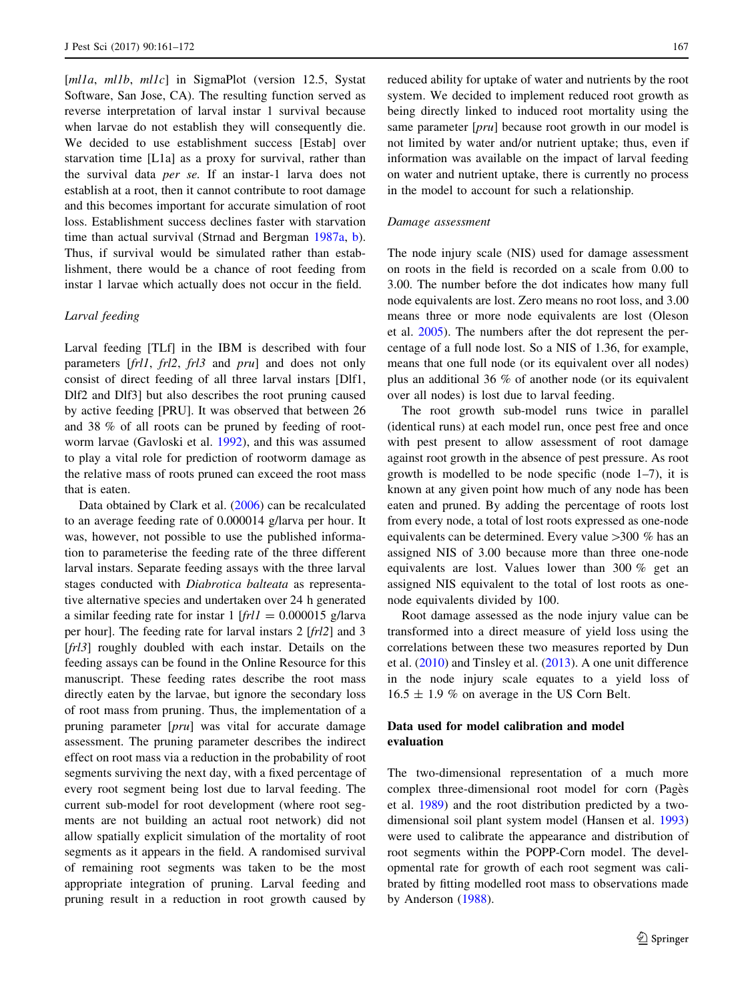[ml1a, ml1b, ml1c] in SigmaPlot (version 12.5, Systat Software, San Jose, CA). The resulting function served as reverse interpretation of larval instar 1 survival because when larvae do not establish they will consequently die. We decided to use establishment success [Estab] over starvation time [L1a] as a proxy for survival, rather than the survival data per se. If an instar-1 larva does not establish at a root, then it cannot contribute to root damage and this becomes important for accurate simulation of root loss. Establishment success declines faster with starvation time than actual survival (Strnad and Bergman [1987a](#page-11-0), [b](#page-11-0)). Thus, if survival would be simulated rather than establishment, there would be a chance of root feeding from instar 1 larvae which actually does not occur in the field.

# Larval feeding

Larval feeding [TLf] in the IBM is described with four parameters [frl1, frl2, frl3 and pru] and does not only consist of direct feeding of all three larval instars [Dlf1, Dlf2 and Dlf3] but also describes the root pruning caused by active feeding [PRU]. It was observed that between 26 and 38 % of all roots can be pruned by feeding of rootworm larvae (Gavloski et al. [1992\)](#page-10-0), and this was assumed to play a vital role for prediction of rootworm damage as the relative mass of roots pruned can exceed the root mass that is eaten.

Data obtained by Clark et al. [\(2006](#page-10-0)) can be recalculated to an average feeding rate of 0.000014 g/larva per hour. It was, however, not possible to use the published information to parameterise the feeding rate of the three different larval instars. Separate feeding assays with the three larval stages conducted with Diabrotica balteata as representative alternative species and undertaken over 24 h generated a similar feeding rate for instar 1  $[frll] = 0.000015$  g/larva per hour]. The feeding rate for larval instars 2 [frl2] and 3 [frl3] roughly doubled with each instar. Details on the feeding assays can be found in the Online Resource for this manuscript. These feeding rates describe the root mass directly eaten by the larvae, but ignore the secondary loss of root mass from pruning. Thus, the implementation of a pruning parameter [pru] was vital for accurate damage assessment. The pruning parameter describes the indirect effect on root mass via a reduction in the probability of root segments surviving the next day, with a fixed percentage of every root segment being lost due to larval feeding. The current sub-model for root development (where root segments are not building an actual root network) did not allow spatially explicit simulation of the mortality of root segments as it appears in the field. A randomised survival of remaining root segments was taken to be the most appropriate integration of pruning. Larval feeding and pruning result in a reduction in root growth caused by reduced ability for uptake of water and nutrients by the root system. We decided to implement reduced root growth as being directly linked to induced root mortality using the same parameter [*pru*] because root growth in our model is not limited by water and/or nutrient uptake; thus, even if information was available on the impact of larval feeding on water and nutrient uptake, there is currently no process in the model to account for such a relationship.

#### Damage assessment

The node injury scale (NIS) used for damage assessment on roots in the field is recorded on a scale from 0.00 to 3.00. The number before the dot indicates how many full node equivalents are lost. Zero means no root loss, and 3.00 means three or more node equivalents are lost (Oleson et al. [2005](#page-11-0)). The numbers after the dot represent the percentage of a full node lost. So a NIS of 1.36, for example, means that one full node (or its equivalent over all nodes) plus an additional 36 % of another node (or its equivalent over all nodes) is lost due to larval feeding.

The root growth sub-model runs twice in parallel (identical runs) at each model run, once pest free and once with pest present to allow assessment of root damage against root growth in the absence of pest pressure. As root growth is modelled to be node specific (node 1–7), it is known at any given point how much of any node has been eaten and pruned. By adding the percentage of roots lost from every node, a total of lost roots expressed as one-node equivalents can be determined. Every value  $>300 \%$  has an assigned NIS of 3.00 because more than three one-node equivalents are lost. Values lower than 300 % get an assigned NIS equivalent to the total of lost roots as onenode equivalents divided by 100.

Root damage assessed as the node injury value can be transformed into a direct measure of yield loss using the correlations between these two measures reported by Dun et al. [\(2010](#page-10-0)) and Tinsley et al. [\(2013](#page-11-0)). A one unit difference in the node injury scale equates to a yield loss of  $16.5 \pm 1.9$  % on average in the US Corn Belt.

# Data used for model calibration and model evaluation

The two-dimensional representation of a much more complex three-dimensional root model for corn (Pages et al. [1989\)](#page-11-0) and the root distribution predicted by a twodimensional soil plant system model (Hansen et al. [1993\)](#page-10-0) were used to calibrate the appearance and distribution of root segments within the POPP-Corn model. The developmental rate for growth of each root segment was calibrated by fitting modelled root mass to observations made by Anderson ([1988\)](#page-10-0).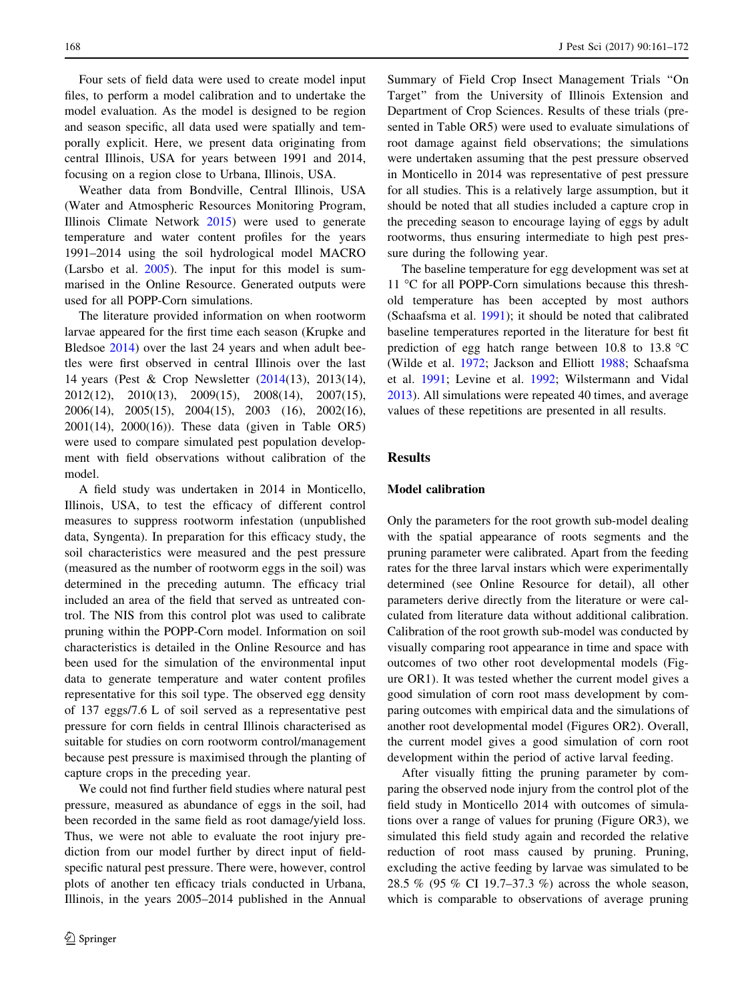Four sets of field data were used to create model input files, to perform a model calibration and to undertake the model evaluation. As the model is designed to be region and season specific, all data used were spatially and temporally explicit. Here, we present data originating from central Illinois, USA for years between 1991 and 2014, focusing on a region close to Urbana, Illinois, USA.

Weather data from Bondville, Central Illinois, USA (Water and Atmospheric Resources Monitoring Program, Illinois Climate Network [2015](#page-11-0)) were used to generate temperature and water content profiles for the years 1991–2014 using the soil hydrological model MACRO (Larsbo et al. [2005](#page-11-0)). The input for this model is summarised in the Online Resource. Generated outputs were used for all POPP-Corn simulations.

The literature provided information on when rootworm larvae appeared for the first time each season (Krupke and Bledsoe [2014\)](#page-11-0) over the last 24 years and when adult beetles were first observed in central Illinois over the last 14 years (Pest & Crop Newsletter ([2014\(](#page-11-0)13), 2013(14), 2012(12), 2010(13), 2009(15), 2008(14), 2007(15), 2006(14), 2005(15), 2004(15), 2003 (16), 2002(16), 2001(14), 2000(16)). These data (given in Table OR5) were used to compare simulated pest population development with field observations without calibration of the model.

A field study was undertaken in 2014 in Monticello, Illinois, USA, to test the efficacy of different control measures to suppress rootworm infestation (unpublished data, Syngenta). In preparation for this efficacy study, the soil characteristics were measured and the pest pressure (measured as the number of rootworm eggs in the soil) was determined in the preceding autumn. The efficacy trial included an area of the field that served as untreated control. The NIS from this control plot was used to calibrate pruning within the POPP-Corn model. Information on soil characteristics is detailed in the Online Resource and has been used for the simulation of the environmental input data to generate temperature and water content profiles representative for this soil type. The observed egg density of 137 eggs/7.6 L of soil served as a representative pest pressure for corn fields in central Illinois characterised as suitable for studies on corn rootworm control/management because pest pressure is maximised through the planting of capture crops in the preceding year.

We could not find further field studies where natural pest pressure, measured as abundance of eggs in the soil, had been recorded in the same field as root damage/yield loss. Thus, we were not able to evaluate the root injury prediction from our model further by direct input of fieldspecific natural pest pressure. There were, however, control plots of another ten efficacy trials conducted in Urbana, Illinois, in the years 2005–2014 published in the Annual Summary of Field Crop Insect Management Trials ''On Target'' from the University of Illinois Extension and Department of Crop Sciences. Results of these trials (presented in Table OR5) were used to evaluate simulations of root damage against field observations; the simulations were undertaken assuming that the pest pressure observed in Monticello in 2014 was representative of pest pressure for all studies. This is a relatively large assumption, but it should be noted that all studies included a capture crop in the preceding season to encourage laying of eggs by adult rootworms, thus ensuring intermediate to high pest pressure during the following year.

The baseline temperature for egg development was set at 11  $\degree$ C for all POPP-Corn simulations because this threshold temperature has been accepted by most authors (Schaafsma et al. [1991\)](#page-11-0); it should be noted that calibrated baseline temperatures reported in the literature for best fit prediction of egg hatch range between 10.8 to 13.8  $\degree$ C (Wilde et al. [1972](#page-11-0); Jackson and Elliott [1988;](#page-10-0) Schaafsma et al. [1991;](#page-11-0) Levine et al. [1992;](#page-11-0) Wilstermann and Vidal [2013](#page-11-0)). All simulations were repeated 40 times, and average values of these repetitions are presented in all results.

### **Results**

### Model calibration

Only the parameters for the root growth sub-model dealing with the spatial appearance of roots segments and the pruning parameter were calibrated. Apart from the feeding rates for the three larval instars which were experimentally determined (see Online Resource for detail), all other parameters derive directly from the literature or were calculated from literature data without additional calibration. Calibration of the root growth sub-model was conducted by visually comparing root appearance in time and space with outcomes of two other root developmental models (Figure OR1). It was tested whether the current model gives a good simulation of corn root mass development by comparing outcomes with empirical data and the simulations of another root developmental model (Figures OR2). Overall, the current model gives a good simulation of corn root development within the period of active larval feeding.

After visually fitting the pruning parameter by comparing the observed node injury from the control plot of the field study in Monticello 2014 with outcomes of simulations over a range of values for pruning (Figure OR3), we simulated this field study again and recorded the relative reduction of root mass caused by pruning. Pruning, excluding the active feeding by larvae was simulated to be 28.5 % (95 % CI 19.7–37.3 %) across the whole season, which is comparable to observations of average pruning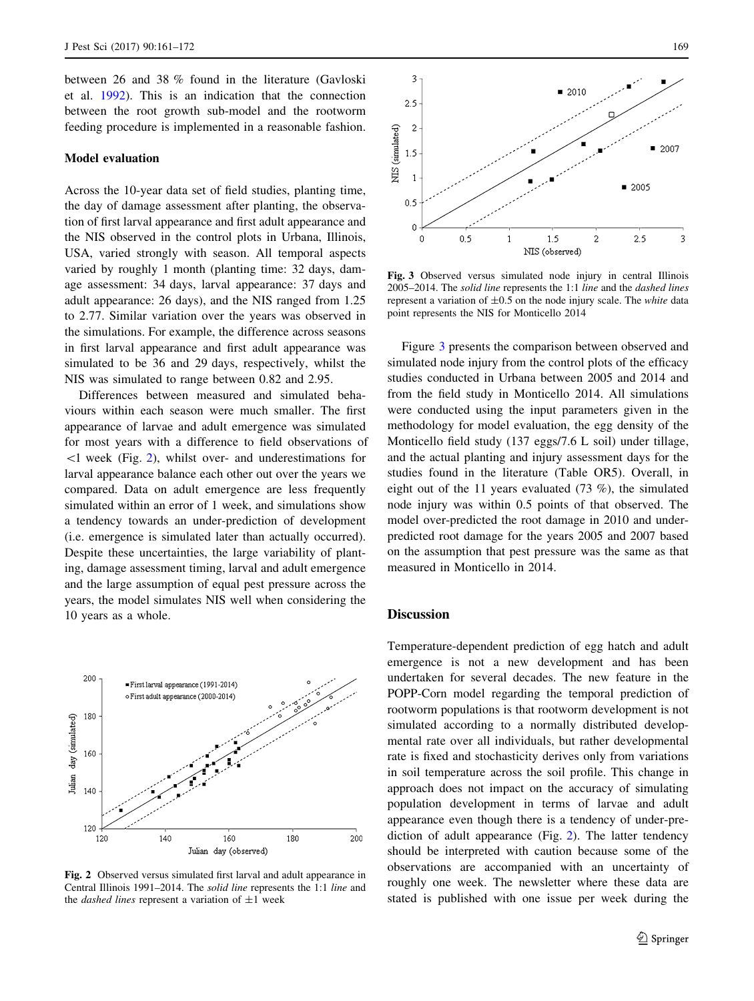<span id="page-8-0"></span>between 26 and 38 % found in the literature (Gavloski et al. [1992](#page-10-0)). This is an indication that the connection between the root growth sub-model and the rootworm feeding procedure is implemented in a reasonable fashion.

#### Model evaluation

Across the 10-year data set of field studies, planting time, the day of damage assessment after planting, the observation of first larval appearance and first adult appearance and the NIS observed in the control plots in Urbana, Illinois, USA, varied strongly with season. All temporal aspects varied by roughly 1 month (planting time: 32 days, damage assessment: 34 days, larval appearance: 37 days and adult appearance: 26 days), and the NIS ranged from 1.25 to 2.77. Similar variation over the years was observed in the simulations. For example, the difference across seasons in first larval appearance and first adult appearance was simulated to be 36 and 29 days, respectively, whilst the NIS was simulated to range between 0.82 and 2.95.

Differences between measured and simulated behaviours within each season were much smaller. The first appearance of larvae and adult emergence was simulated for most years with a difference to field observations of  $\leq$ 1 week (Fig. 2), whilst over- and underestimations for larval appearance balance each other out over the years we compared. Data on adult emergence are less frequently simulated within an error of 1 week, and simulations show a tendency towards an under-prediction of development (i.e. emergence is simulated later than actually occurred). Despite these uncertainties, the large variability of planting, damage assessment timing, larval and adult emergence and the large assumption of equal pest pressure across the years, the model simulates NIS well when considering the 10 years as a whole.



Fig. 2 Observed versus simulated first larval and adult appearance in Central Illinois 1991–2014. The solid line represents the 1:1 line and the *dashed lines* represent a variation of  $\pm 1$  week



Fig. 3 Observed versus simulated node injury in central Illinois 2005–2014. The solid line represents the 1:1 line and the dashed lines represent a variation of  $\pm 0.5$  on the node injury scale. The white data point represents the NIS for Monticello 2014

Figure 3 presents the comparison between observed and simulated node injury from the control plots of the efficacy studies conducted in Urbana between 2005 and 2014 and from the field study in Monticello 2014. All simulations were conducted using the input parameters given in the methodology for model evaluation, the egg density of the Monticello field study (137 eggs/7.6 L soil) under tillage, and the actual planting and injury assessment days for the studies found in the literature (Table OR5). Overall, in eight out of the 11 years evaluated (73 %), the simulated node injury was within 0.5 points of that observed. The model over-predicted the root damage in 2010 and underpredicted root damage for the years 2005 and 2007 based on the assumption that pest pressure was the same as that measured in Monticello in 2014.

# **Discussion**

Temperature-dependent prediction of egg hatch and adult emergence is not a new development and has been undertaken for several decades. The new feature in the POPP-Corn model regarding the temporal prediction of rootworm populations is that rootworm development is not simulated according to a normally distributed developmental rate over all individuals, but rather developmental rate is fixed and stochasticity derives only from variations in soil temperature across the soil profile. This change in approach does not impact on the accuracy of simulating population development in terms of larvae and adult appearance even though there is a tendency of under-prediction of adult appearance (Fig. 2). The latter tendency should be interpreted with caution because some of the observations are accompanied with an uncertainty of roughly one week. The newsletter where these data are stated is published with one issue per week during the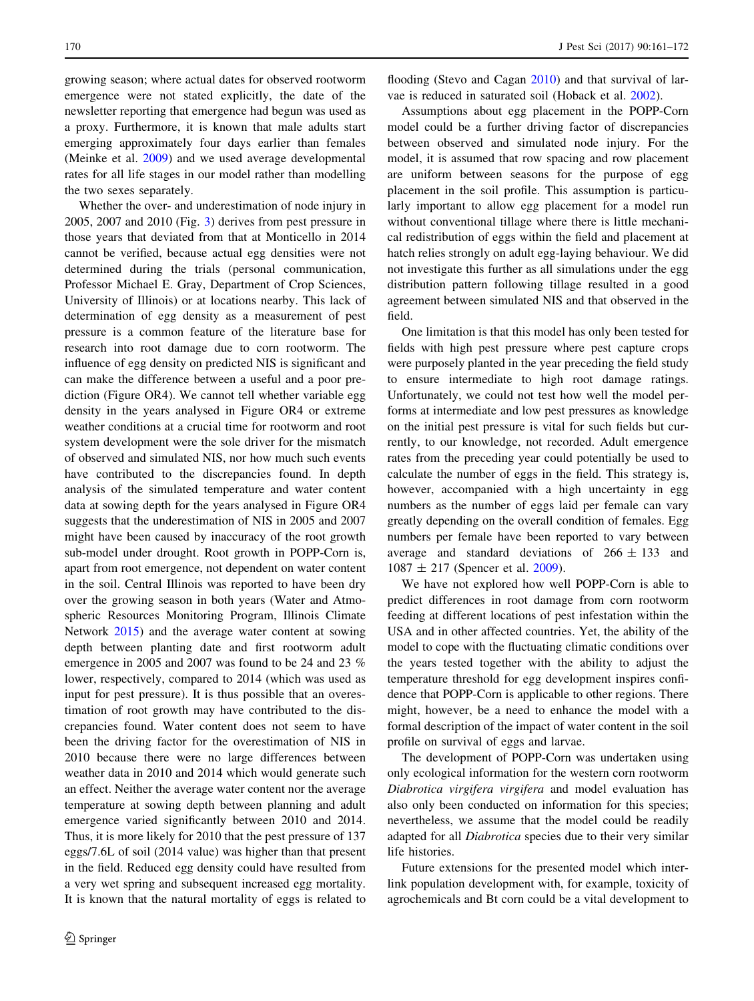growing season; where actual dates for observed rootworm emergence were not stated explicitly, the date of the newsletter reporting that emergence had begun was used as a proxy. Furthermore, it is known that male adults start emerging approximately four days earlier than females (Meinke et al. [2009\)](#page-11-0) and we used average developmental rates for all life stages in our model rather than modelling the two sexes separately.

Whether the over- and underestimation of node injury in 2005, 2007 and 2010 (Fig. [3](#page-8-0)) derives from pest pressure in those years that deviated from that at Monticello in 2014 cannot be verified, because actual egg densities were not determined during the trials (personal communication, Professor Michael E. Gray, Department of Crop Sciences, University of Illinois) or at locations nearby. This lack of determination of egg density as a measurement of pest pressure is a common feature of the literature base for research into root damage due to corn rootworm. The influence of egg density on predicted NIS is significant and can make the difference between a useful and a poor prediction (Figure OR4). We cannot tell whether variable egg density in the years analysed in Figure OR4 or extreme weather conditions at a crucial time for rootworm and root system development were the sole driver for the mismatch of observed and simulated NIS, nor how much such events have contributed to the discrepancies found. In depth analysis of the simulated temperature and water content data at sowing depth for the years analysed in Figure OR4 suggests that the underestimation of NIS in 2005 and 2007 might have been caused by inaccuracy of the root growth sub-model under drought. Root growth in POPP-Corn is, apart from root emergence, not dependent on water content in the soil. Central Illinois was reported to have been dry over the growing season in both years (Water and Atmospheric Resources Monitoring Program, Illinois Climate Network [2015](#page-11-0)) and the average water content at sowing depth between planting date and first rootworm adult emergence in 2005 and 2007 was found to be 24 and 23 % lower, respectively, compared to 2014 (which was used as input for pest pressure). It is thus possible that an overestimation of root growth may have contributed to the discrepancies found. Water content does not seem to have been the driving factor for the overestimation of NIS in 2010 because there were no large differences between weather data in 2010 and 2014 which would generate such an effect. Neither the average water content nor the average temperature at sowing depth between planning and adult emergence varied significantly between 2010 and 2014. Thus, it is more likely for 2010 that the pest pressure of 137 eggs/7.6L of soil (2014 value) was higher than that present in the field. Reduced egg density could have resulted from a very wet spring and subsequent increased egg mortality. It is known that the natural mortality of eggs is related to

flooding (Stevo and Cagan [2010](#page-11-0)) and that survival of larvae is reduced in saturated soil (Hoback et al. [2002](#page-10-0)).

Assumptions about egg placement in the POPP-Corn model could be a further driving factor of discrepancies between observed and simulated node injury. For the model, it is assumed that row spacing and row placement are uniform between seasons for the purpose of egg placement in the soil profile. This assumption is particularly important to allow egg placement for a model run without conventional tillage where there is little mechanical redistribution of eggs within the field and placement at hatch relies strongly on adult egg-laying behaviour. We did not investigate this further as all simulations under the egg distribution pattern following tillage resulted in a good agreement between simulated NIS and that observed in the field.

One limitation is that this model has only been tested for fields with high pest pressure where pest capture crops were purposely planted in the year preceding the field study to ensure intermediate to high root damage ratings. Unfortunately, we could not test how well the model performs at intermediate and low pest pressures as knowledge on the initial pest pressure is vital for such fields but currently, to our knowledge, not recorded. Adult emergence rates from the preceding year could potentially be used to calculate the number of eggs in the field. This strategy is, however, accompanied with a high uncertainty in egg numbers as the number of eggs laid per female can vary greatly depending on the overall condition of females. Egg numbers per female have been reported to vary between average and standard deviations of  $266 \pm 133$  and  $1087 \pm 217$  (Spencer et al. [2009](#page-11-0)).

We have not explored how well POPP-Corn is able to predict differences in root damage from corn rootworm feeding at different locations of pest infestation within the USA and in other affected countries. Yet, the ability of the model to cope with the fluctuating climatic conditions over the years tested together with the ability to adjust the temperature threshold for egg development inspires confidence that POPP-Corn is applicable to other regions. There might, however, be a need to enhance the model with a formal description of the impact of water content in the soil profile on survival of eggs and larvae.

The development of POPP-Corn was undertaken using only ecological information for the western corn rootworm Diabrotica virgifera virgifera and model evaluation has also only been conducted on information for this species; nevertheless, we assume that the model could be readily adapted for all Diabrotica species due to their very similar life histories.

Future extensions for the presented model which interlink population development with, for example, toxicity of agrochemicals and Bt corn could be a vital development to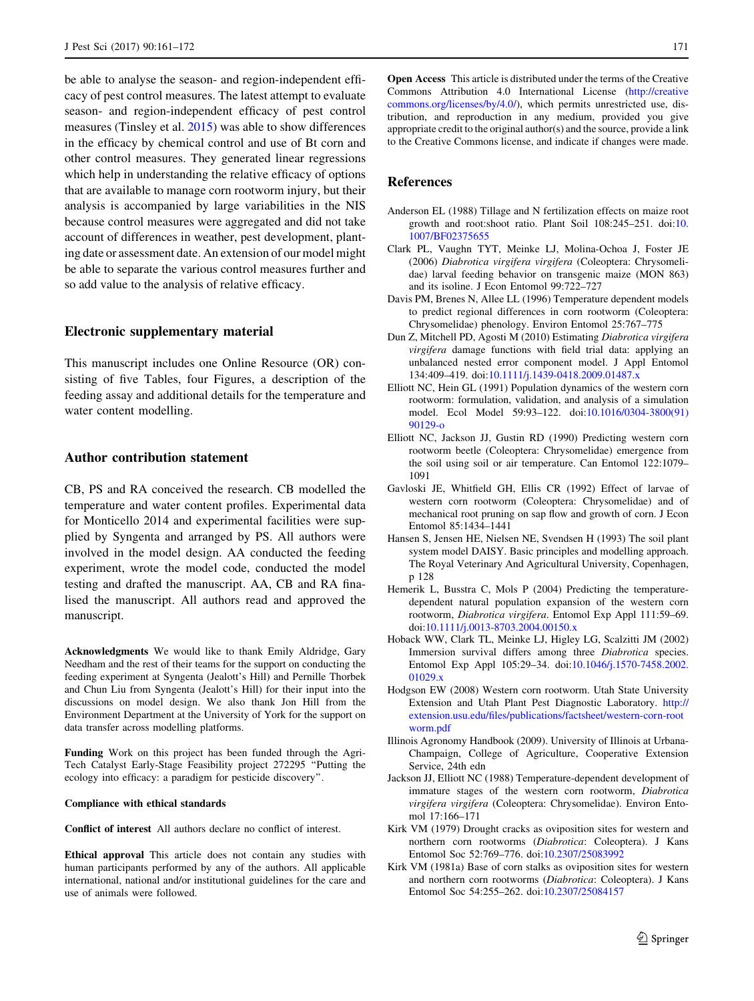<span id="page-10-0"></span>be able to analyse the season- and region-independent efficacy of pest control measures. The latest attempt to evaluate season- and region-independent efficacy of pest control measures (Tinsley et al. [2015](#page-11-0)) was able to show differences in the efficacy by chemical control and use of Bt corn and other control measures. They generated linear regressions which help in understanding the relative efficacy of options that are available to manage corn rootworm injury, but their analysis is accompanied by large variabilities in the NIS because control measures were aggregated and did not take account of differences in weather, pest development, planting date or assessment date. An extension of our model might be able to separate the various control measures further and so add value to the analysis of relative efficacy.

# Electronic supplementary material

This manuscript includes one Online Resource (OR) consisting of five Tables, four Figures, a description of the feeding assay and additional details for the temperature and water content modelling.

# Author contribution statement

CB, PS and RA conceived the research. CB modelled the temperature and water content profiles. Experimental data for Monticello 2014 and experimental facilities were supplied by Syngenta and arranged by PS. All authors were involved in the model design. AA conducted the feeding experiment, wrote the model code, conducted the model testing and drafted the manuscript. AA, CB and RA finalised the manuscript. All authors read and approved the manuscript.

Acknowledgments We would like to thank Emily Aldridge, Gary Needham and the rest of their teams for the support on conducting the feeding experiment at Syngenta (Jealott's Hill) and Pernille Thorbek and Chun Liu from Syngenta (Jealott's Hill) for their input into the discussions on model design. We also thank Jon Hill from the Environment Department at the University of York for the support on data transfer across modelling platforms.

Funding Work on this project has been funded through the Agri-Tech Catalyst Early-Stage Feasibility project 272295 ''Putting the ecology into efficacy: a paradigm for pesticide discovery''.

#### Compliance with ethical standards

Conflict of interest All authors declare no conflict of interest.

Ethical approval This article does not contain any studies with human participants performed by any of the authors. All applicable international, national and/or institutional guidelines for the care and use of animals were followed.

Open Access This article is distributed under the terms of the Creative Commons Attribution 4.0 International License ([http://creative](http://creativecommons.org/licenses/by/4.0/) [commons.org/licenses/by/4.0/](http://creativecommons.org/licenses/by/4.0/)), which permits unrestricted use, distribution, and reproduction in any medium, provided you give appropriate credit to the original author(s) and the source, provide a link to the Creative Commons license, and indicate if changes were made.

## References

- Anderson EL (1988) Tillage and N fertilization effects on maize root growth and root:shoot ratio. Plant Soil 108:245–251. doi:[10.](http://dx.doi.org/10.1007/BF02375655) [1007/BF02375655](http://dx.doi.org/10.1007/BF02375655)
- Clark PL, Vaughn TYT, Meinke LJ, Molina-Ochoa J, Foster JE (2006) Diabrotica virgifera virgifera (Coleoptera: Chrysomelidae) larval feeding behavior on transgenic maize (MON 863) and its isoline. J Econ Entomol 99:722–727
- Davis PM, Brenes N, Allee LL (1996) Temperature dependent models to predict regional differences in corn rootworm (Coleoptera: Chrysomelidae) phenology. Environ Entomol 25:767–775
- Dun Z, Mitchell PD, Agosti M (2010) Estimating Diabrotica virgifera virgifera damage functions with field trial data: applying an unbalanced nested error component model. J Appl Entomol 134:409–419. doi[:10.1111/j.1439-0418.2009.01487.x](http://dx.doi.org/10.1111/j.1439-0418.2009.01487.x)
- Elliott NC, Hein GL (1991) Population dynamics of the western corn rootworm: formulation, validation, and analysis of a simulation model. Ecol Model 59:93–122. doi:[10.1016/0304-3800\(91\)](http://dx.doi.org/10.1016/0304-3800(91)90129-o) [90129-o](http://dx.doi.org/10.1016/0304-3800(91)90129-o)
- Elliott NC, Jackson JJ, Gustin RD (1990) Predicting western corn rootworm beetle (Coleoptera: Chrysomelidae) emergence from the soil using soil or air temperature. Can Entomol 122:1079– 1091
- Gavloski JE, Whitfield GH, Ellis CR (1992) Effect of larvae of western corn rootworm (Coleoptera: Chrysomelidae) and of mechanical root pruning on sap flow and growth of corn. J Econ Entomol 85:1434–1441
- Hansen S, Jensen HE, Nielsen NE, Svendsen H (1993) The soil plant system model DAISY. Basic principles and modelling approach. The Royal Veterinary And Agricultural University, Copenhagen, p 128
- Hemerik L, Busstra C, Mols P (2004) Predicting the temperaturedependent natural population expansion of the western corn rootworm, Diabrotica virgifera. Entomol Exp Appl 111:59–69. doi[:10.1111/j.0013-8703.2004.00150.x](http://dx.doi.org/10.1111/j.0013-8703.2004.00150.x)
- Hoback WW, Clark TL, Meinke LJ, Higley LG, Scalzitti JM (2002) Immersion survival differs among three Diabrotica species. Entomol Exp Appl 105:29–34. doi:[10.1046/j.1570-7458.2002.](http://dx.doi.org/10.1046/j.1570-7458.2002.01029.x) [01029.x](http://dx.doi.org/10.1046/j.1570-7458.2002.01029.x)
- Hodgson EW (2008) Western corn rootworm. Utah State University Extension and Utah Plant Pest Diagnostic Laboratory. [http://](http://extension.usu.edu/files/publications/factsheet/western-corn-rootworm.pdf) [extension.usu.edu/files/publications/factsheet/western-corn-root](http://extension.usu.edu/files/publications/factsheet/western-corn-rootworm.pdf) [worm.pdf](http://extension.usu.edu/files/publications/factsheet/western-corn-rootworm.pdf)
- Illinois Agronomy Handbook (2009). University of Illinois at Urbana-Champaign, College of Agriculture, Cooperative Extension Service, 24th edn
- Jackson JJ, Elliott NC (1988) Temperature-dependent development of immature stages of the western corn rootworm, Diabrotica virgifera virgifera (Coleoptera: Chrysomelidae). Environ Entomol 17:166–171
- Kirk VM (1979) Drought cracks as oviposition sites for western and northern corn rootworms (Diabrotica: Coleoptera). J Kans Entomol Soc 52:769–776. doi[:10.2307/25083992](http://dx.doi.org/10.2307/25083992)
- Kirk VM (1981a) Base of corn stalks as oviposition sites for western and northern corn rootworms (Diabrotica: Coleoptera). J Kans Entomol Soc 54:255–262. doi[:10.2307/25084157](http://dx.doi.org/10.2307/25084157)